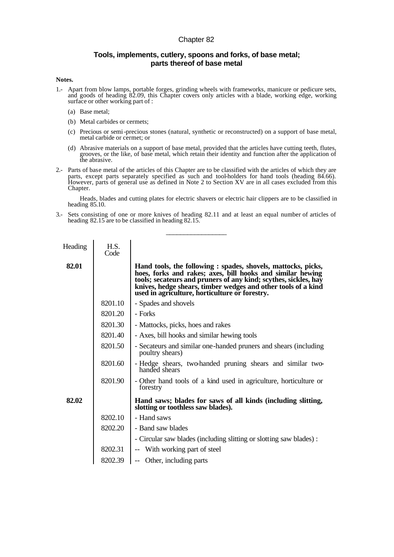## Chapter 82

## **Tools, implements, cutlery, spoons and forks, of base metal; parts thereof of base metal**

## **Notes.**

- 1.- Apart from blow lamps, portable forges, grinding wheels with frameworks, manicure or pedicure sets, and goods of heading 82.09, this Chapter covers only articles with a blade, working edge, working surface or other working part of :
	- (a) Base metal;
	- (b) Metal carbides or cermets;
	- (c) Precious or semi-precious stones (natural, synthetic or reconstructed) on a support of base metal, metal carbide or cermet; or
	- (d) Abrasive materials on a support of base metal, provided that the articles have cutting teeth, flutes, grooves, or the like, of base metal, which retain their identity and function after the application of the abrasive.
- 2.- Parts of base metal of the articles of this Chapter are to be classified with the articles of which they are parts, except parts separately specified as such and tool-holders for hand tools (heading 84.66). However, parts of general use as defined in Note 2 to Section XV are in all cases excluded from this Chapter.

Heads, blades and cutting plates for electric shavers or electric hair clippers are to be classified in heading 85.10.

3.- Sets consisting of one or more knives of heading 82.11 and at least an equal number of articles of heading 82.15 are to be classified in heading 82.15.

\_\_\_\_\_\_\_\_\_\_\_\_\_\_\_\_\_

| Heading | H.S.<br>Code |                                                                                                                                                                                                                                                                                                                   |
|---------|--------------|-------------------------------------------------------------------------------------------------------------------------------------------------------------------------------------------------------------------------------------------------------------------------------------------------------------------|
| 82.01   |              | Hand tools, the following : spades, shovels, mattocks, picks,<br>hoes, forks and rakes; axes, bill hooks and similar hewing<br>tools; secateurs and pruners of any kind; scythes, sickles, hay<br>knives, hedge shears, timber wedges and other tools of a kind<br>used in agriculture, horticulture or forestry. |
|         | 8201.10      | - Spades and shovels                                                                                                                                                                                                                                                                                              |
|         | 8201.20      | - Forks                                                                                                                                                                                                                                                                                                           |
|         | 8201.30      | - Mattocks, picks, hoes and rakes                                                                                                                                                                                                                                                                                 |
|         | 8201.40      | - Axes, bill hooks and similar hewing tools                                                                                                                                                                                                                                                                       |
|         | 8201.50      | - Secateurs and similar one-handed pruners and shears (including)<br>poultry shears)                                                                                                                                                                                                                              |
|         | 8201.60      | - Hedge shears, two-handed pruning shears and similar two-<br>handed shears                                                                                                                                                                                                                                       |
|         | 8201.90      | - Other hand tools of a kind used in agriculture, horticulture or<br>forestry                                                                                                                                                                                                                                     |
| 82.02   |              | Hand saws; blades for saws of all kinds (including slitting,<br>slotting or toothless saw blades).                                                                                                                                                                                                                |
|         | 8202.10      | - Hand saws                                                                                                                                                                                                                                                                                                       |
|         | 8202.20      | - Band saw blades                                                                                                                                                                                                                                                                                                 |
|         |              | - Circular saw blades (including slitting or slotting saw blades) :                                                                                                                                                                                                                                               |
|         | 8202.31      | -- With working part of steel                                                                                                                                                                                                                                                                                     |
|         | 8202.39      | Other, including parts                                                                                                                                                                                                                                                                                            |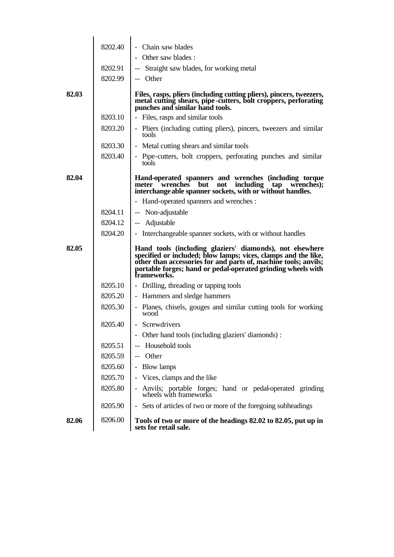|       | 8202.40 | Chain saw blades                                                                                                                                                                                                                                                          |
|-------|---------|---------------------------------------------------------------------------------------------------------------------------------------------------------------------------------------------------------------------------------------------------------------------------|
|       |         | - Other saw blades :                                                                                                                                                                                                                                                      |
|       | 8202.91 | Straight saw blades, for working metal                                                                                                                                                                                                                                    |
|       | 8202.99 | -- Other                                                                                                                                                                                                                                                                  |
| 82.03 |         | Files, rasps, pliers (including cutting pliers), pincers, tweezers,<br>metal cutting shears, pipe-cutters, bolt croppers, perforating<br>punches and similar hand tools.                                                                                                  |
|       | 8203.10 | - Files, rasps and similar tools                                                                                                                                                                                                                                          |
|       | 8203.20 | - Pliers (including cutting pliers), pincers, tweezers and similar<br>tools                                                                                                                                                                                               |
|       | 8203.30 | - Metal cutting shears and similar tools                                                                                                                                                                                                                                  |
|       | 8203.40 | - Pipe-cutters, bolt croppers, perforating punches and similar<br>tools                                                                                                                                                                                                   |
| 82.04 |         | Hand-operated spanners and wrenches (including torque<br>including<br>but<br>wrenches);<br>meter wrenches<br>not<br>tap<br>interchange able spanner sockets, with or without handles.                                                                                     |
|       |         | - Hand-operated spanners and wrenches :                                                                                                                                                                                                                                   |
|       | 8204.11 | -- Non-adjustable                                                                                                                                                                                                                                                         |
|       | 8204.12 | -- Adjustable                                                                                                                                                                                                                                                             |
|       | 8204.20 | - Interchangeable spanner sockets, with or without handles                                                                                                                                                                                                                |
| 82.05 |         | Hand tools (including glaziers' diamonds), not elsewhere<br>specified or included; blow lamps; vices, clamps and the like, other than accessories for and parts of, machine tools; anvils;<br>portable forges; hand or pedal-operated grinding wheels with<br>frameworks. |
|       | 8205.10 | - Drilling, threading or tapping tools                                                                                                                                                                                                                                    |
|       | 8205.20 | - Hammers and sledge hammers                                                                                                                                                                                                                                              |
|       | 8205.30 | - Planes, chisels, gouges and similar cutting tools for working<br>wood                                                                                                                                                                                                   |
|       | 8205.40 | - Screwdrivers                                                                                                                                                                                                                                                            |
|       |         | Other hand tools (including glaziers' diamonds) :                                                                                                                                                                                                                         |
|       | 8205.51 | Household tools                                                                                                                                                                                                                                                           |
|       | 8205.59 | Other                                                                                                                                                                                                                                                                     |
|       | 8205.60 | <b>Blow lamps</b>                                                                                                                                                                                                                                                         |
|       | 8205.70 | Vices, clamps and the like                                                                                                                                                                                                                                                |
|       | 8205.80 | Anvils; portable forges; hand or pedal-operated grinding<br>wheels with frameworks                                                                                                                                                                                        |
|       | 8205.90 | Sets of articles of two or more of the foregoing subheadings                                                                                                                                                                                                              |
| 82.06 | 8206.00 | Tools of two or more of the headings 82.02 to 82.05, put up in<br>sets for retail sale.                                                                                                                                                                                   |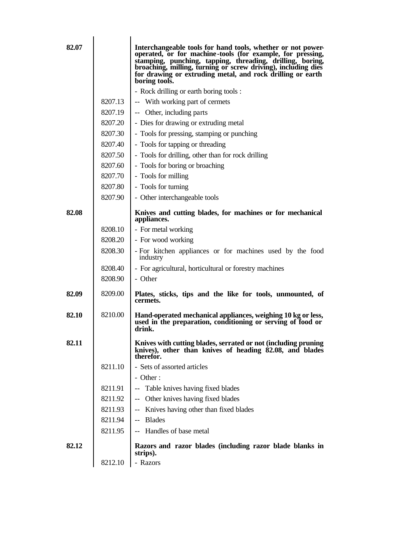| 82.07 |         | Interchangeable tools for hand tools, whether or not power-<br>operated, or for machine-tools (for example, for pressing,<br>stamping, punching, tapping, threading, drilling, boring,<br>broaching, milling, turning or screw driving), including dies<br>for drawing or extruding metal, and rock drilling or earth<br>boring tools. |
|-------|---------|----------------------------------------------------------------------------------------------------------------------------------------------------------------------------------------------------------------------------------------------------------------------------------------------------------------------------------------|
|       |         | - Rock drilling or earth boring tools :                                                                                                                                                                                                                                                                                                |
|       | 8207.13 | -- With working part of cermets                                                                                                                                                                                                                                                                                                        |
|       | 8207.19 | -- Other, including parts                                                                                                                                                                                                                                                                                                              |
|       | 8207.20 | - Dies for drawing or extruding metal                                                                                                                                                                                                                                                                                                  |
|       | 8207.30 | - Tools for pressing, stamping or punching                                                                                                                                                                                                                                                                                             |
|       | 8207.40 | - Tools for tapping or threading                                                                                                                                                                                                                                                                                                       |
|       | 8207.50 | - Tools for drilling, other than for rock drilling                                                                                                                                                                                                                                                                                     |
|       | 8207.60 | - Tools for boring or broaching                                                                                                                                                                                                                                                                                                        |
|       | 8207.70 | - Tools for milling                                                                                                                                                                                                                                                                                                                    |
|       | 8207.80 | - Tools for turning                                                                                                                                                                                                                                                                                                                    |
|       | 8207.90 | - Other interchangeable tools                                                                                                                                                                                                                                                                                                          |
| 82.08 |         | Knives and cutting blades, for machines or for mechanical<br>appliances.                                                                                                                                                                                                                                                               |
|       | 8208.10 | - For metal working                                                                                                                                                                                                                                                                                                                    |
|       | 8208.20 | - For wood working                                                                                                                                                                                                                                                                                                                     |
|       | 8208.30 | - For kitchen appliances or for machines used by the food<br>industry                                                                                                                                                                                                                                                                  |
|       | 8208.40 | - For agricultural, horticultural or forestry machines                                                                                                                                                                                                                                                                                 |
|       | 8208.90 | - Other                                                                                                                                                                                                                                                                                                                                |
| 82.09 | 8209.00 | Plates, sticks, tips and the like for tools, unmounted, of<br>cermets.                                                                                                                                                                                                                                                                 |
| 82.10 | 8210.00 | Hand-operated mechanical appliances, weighing 10 kg or less,<br>used in the preparation, conditioning or serving of food or<br>drink.                                                                                                                                                                                                  |
| 82.11 |         | Knives with cutting blades, serrated or not (including pruning<br>knives), other than knives of heading 82.08, and blades<br>therefor.                                                                                                                                                                                                 |
|       | 8211.10 | - Sets of assorted articles                                                                                                                                                                                                                                                                                                            |
|       |         | $-$ Other :                                                                                                                                                                                                                                                                                                                            |
|       | 8211.91 | Table knives having fixed blades<br>$-\, -$                                                                                                                                                                                                                                                                                            |
|       | 8211.92 | Other knives having fixed blades<br>--                                                                                                                                                                                                                                                                                                 |
|       | 8211.93 | Knives having other than fixed blades<br>÷÷.                                                                                                                                                                                                                                                                                           |
|       | 8211.94 | <b>Blades</b><br>$\sim$ $\sim$                                                                                                                                                                                                                                                                                                         |
|       | 8211.95 | -- Handles of base metal                                                                                                                                                                                                                                                                                                               |
| 82.12 |         | Razors and razor blades (including razor blade blanks in<br>strips).                                                                                                                                                                                                                                                                   |
|       | 8212.10 | - Razors                                                                                                                                                                                                                                                                                                                               |